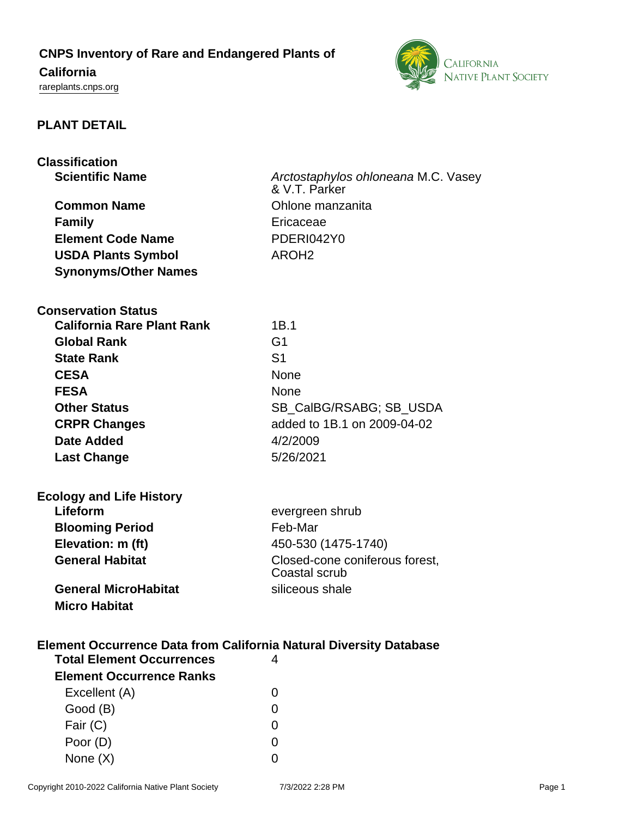# **CNPS Inventory of Rare and Endangered Plants of**

# **California**

<rareplants.cnps.org>



### **PLANT DETAIL**

| Classification |                        |  |  |
|----------------|------------------------|--|--|
|                | <b>Scientific Name</b> |  |  |

**Common Name Common Name Common Name Family Example 2018 Element Code Name** PDERI042Y0 **USDA Plants Symbol** AROH2 **Synonyms/Other Names**

**SCIENTIFIC Arctostaphylos ohloneana M.C. Vasey** & V.T. Parker

**Conservation Status**

| <b>California Rare Plant Rank</b> | 1B.1                        |
|-----------------------------------|-----------------------------|
| <b>Global Rank</b>                | G1                          |
| <b>State Rank</b>                 | S1                          |
| <b>CESA</b>                       | <b>None</b>                 |
| <b>FESA</b>                       | <b>None</b>                 |
| <b>Other Status</b>               | SB CalBG/RSABG; SB USDA     |
| <b>CRPR Changes</b>               | added to 1B.1 on 2009-04-02 |
| <b>Date Added</b>                 | 4/2/2009                    |
| <b>Last Change</b>                | 5/26/2021                   |

| <b>Ecology and Life History</b> |                                                 |
|---------------------------------|-------------------------------------------------|
| Lifeform                        | evergreen shrub                                 |
| <b>Blooming Period</b>          | Feb-Mar                                         |
| Elevation: m (ft)               | 450-530 (1475-1740)                             |
| <b>General Habitat</b>          | Closed-cone coniferous forest,<br>Coastal scrub |
| <b>General MicroHabitat</b>     | siliceous shale                                 |
| <b>Micro Habitat</b>            |                                                 |

# **Element Occurrence Data from California Natural Diversity Database**

| <b>Total Element Occurrences</b> |   |  |
|----------------------------------|---|--|
| <b>Element Occurrence Ranks</b>  |   |  |
| Excellent (A)                    | 0 |  |
| Good (B)                         | O |  |
| Fair (C)                         | ∩ |  |
| Poor (D)                         | O |  |
| None $(X)$                       |   |  |